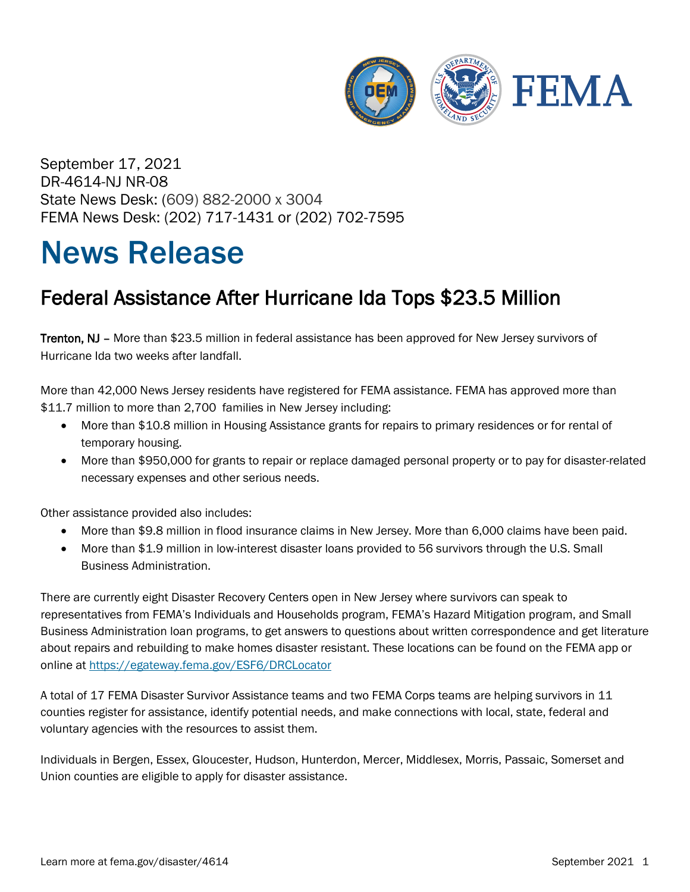

September 17, 2021 DR-4614-NJ NR-08 State News Desk: (609) 882-2000 x 3004 FEMA News Desk: (202) 717-1431 or (202) 702-7595

## News Release

## Federal Assistance After Hurricane Ida Tops \$23.5 Million

Trenton, NJ – More than \$23.5 million in federal assistance has been approved for New Jersey survivors of Hurricane Ida two weeks after landfall.

More than 42,000 News Jersey residents have registered for FEMA assistance. FEMA has approved more than \$11.7 million to more than 2,700 families in New Jersey including:

- More than \$10.8 million in Housing Assistance grants for repairs to primary residences or for rental of temporary housing.
- More than \$950,000 for grants to repair or replace damaged personal property or to pay for disaster-related necessary expenses and other serious needs.

Other assistance provided also includes:

- More than \$9.8 million in flood insurance claims in New Jersey. More than 6,000 claims have been paid.
- More than \$1.9 million in low-interest disaster loans provided to 56 survivors through the U.S. Small Business Administration.

There are currently eight Disaster Recovery Centers open in New Jersey where survivors can speak to representatives from FEMA's Individuals and Households program, FEMA's Hazard Mitigation program, and Small Business Administration loan programs, to get answers to questions about written correspondence and get literature about repairs and rebuilding to make homes disaster resistant. These locations can be found on the FEMA app or online at<https://egateway.fema.gov/ESF6/DRCLocator>

A total of 17 FEMA Disaster Survivor Assistance teams and two FEMA Corps teams are helping survivors in 11 counties register for assistance, identify potential needs, and make connections with local, state, federal and voluntary agencies with the resources to assist them.

Individuals in Bergen, Essex, Gloucester, Hudson, Hunterdon, Mercer, Middlesex, Morris, Passaic, Somerset and Union counties are eligible to apply for disaster assistance.